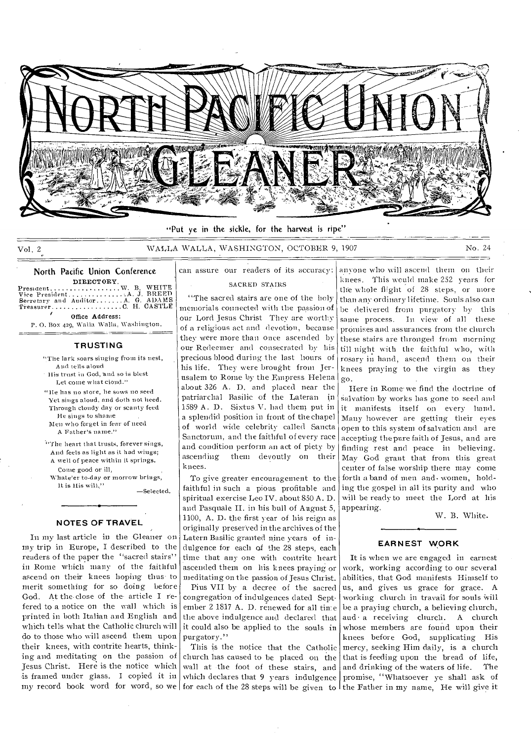

"Put ye in the sickle, for the harvest is ripe"

## Vol. 2 WALLA WALLA, WASHINGTON, OCTOBER 9, 1907 No. 24

# North Pacific Union Conference DIRECTORY  $W_1$   $B_2$

Presutent W. B. WHITE Vice President • A J BREED Secretary and Auditor A G. ADAMS Treasurer C H. CASTLE Office Address:

P. 0. Box 429, Walla Walla, Washington.

### **TRUSTING**

"The lark soars singing from its nest, And tells aloud

• His trust in God, 'and so is blest Let come what ciond."

- "He has no store, he sows no seed Yet sings aloud, and doth not heed. Through cloudy day or scanty feed He sings to shame
- Men who forget in fear of need A Father's name."
- "The heart that trusts, forever sings, And feels as light as it had wings; A well of peace within it springs. Come good or ill,

Whate'er to-day or morrow brings, It is His

—Selected.

# **NOTES OF TRAVEL**

In my last article in the Gleaner on my trip in Europe, I described to the readers of the paper the "sacred stairs" in Rome which many of the faithful ascend on their knees hoping thus to merit something for so doing before God. At the. close of the. article I refered to a notice on the wall which is printed in both Italian and English and which tells what the Catholic church will do to those who will ascend them upon their knees, with contrite hearts, thinking and meditating on the passion of Jesus Christ. Here is the notice which is framed under glass. I copied it in

# can assure our readers of its accuracy: SACRED STAIRS

"The sacred stairs are one of the holy memorials connected with the passion of our Lord Jesus Christ They are worthy ot a religious act and devotion, because they were more than once ascended by our Redeemer and consecrated by his precious blood during the last hours of his life. They were brought from Jerusalem to Rome by the Empress Helena about 326 A. D. and placed near the patriarchal Basilic of the Lateran in 1589 A. D. Sixtus V. had them put in a splendid position in front of the chapel of world wide celebrity called Sancta Sanctorum, and the faithful of every race and condition perform an act of piety by ascending them devoutly on their knees.

To give greater encouragement to the faithful in such a pious profitable and spiritual exercise Leo IV. about 850 A. D. and Pasquale II. in his bull of August 5, 1100, A. D. the first year of his reign as originally preserved in the archives of the Latern Basilic granted nine years of indulgence for each of the 28 steps, each time that any one with contrite heart ascended them on his knees praying or meditating on the passion of Jesus Christ.

Pius VII by a decree of the sacred congregation of indulgences dated September 2 1817 A. D. renewed for all tin:e the above indulgence and declared that it could also be applied to the souls in purgatory."

my record book word for word, so we for each of the 28 steps will be given to the Father in my name, He will give it This is the notice that the Catholic church has caused to be placed on the wall at -the foot of these stairs, and which declares that 9 years indulgence

anyone who will ascend them on their knees. This would make 252 years for the whole flight of 28 steps, or more than any ordinary lifetime. Souls also can be delivered from purgatory by this same process. In view of all these promises and assurances from the church these stairs are thronged from morning till night with the faithful who, with rosary in hand, ascend them on their knees praying to the virgin as they go.

Here in Rome- we find the doctrine of salvation by works has gone to seed and it manifests itself on every hand. Many however are getting their eyes open to this system of salvation and are accepting the pure faith of Jesus, and are finding rest and peace in believing. May God grant that from this great center of false worship there may come forth a band of men and. women, holding the gospel in all its purity and who will be ready to meet the Lord at his appearing.

W. B. White.

#### **EAR NEST WORK**

It is when we are engaged in earnest work, working according to our several abilities, that God manifests Himself to us, and gives us grace for grace. A working church in travail for souls will be a praying church, a believing church, aud a receiving church. A church whose members are found upon their knees before God, supplicating His mercy, seeking Him daily, is a church that is feeding upon the bread of life, and drinking of the waters of life. The promise, "Whatsoever ye shall ask of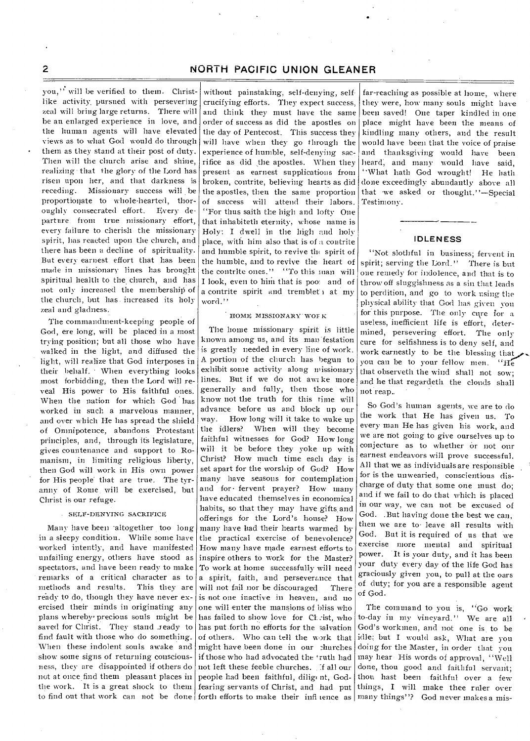you," will be verified to them. Christlike activity, pursued with persevering zeal will bring large returns. There will be an enlarged experience in love, and the human agents will have elevated views as to what God would do through them as they stand at their post of duty. Then will the church arise and shine, realizing - that the glory of the Lord has risen upon her, and that darkness is receding. Missionary success will be proportionate to whole-hearted, thoroughly consecrated effort. Every departure from true missionary effort, every failure to cherish the missionary spirit, has reacted upon the church, and there has been a decline of spirituality. But every earnest effort that has been made in missionary lines has brought spiritual health to the church, and has not only increased the membership of the church, but has. increased its holy zeal and' gladness.

The commandment-keeping people of God, ere long, will be placed in a most trying position; but all those who have walked in the light, and diffused the light, will realize that God interposes in their behalf. • When everything looks most forbidding, then the Lord will reveal His power to His faithful ones. When the nation for which God has worked in such a marvelous manner, and over which He has spread the shield of Omnipotence, abandons Protestant principles, and, through its legislature, gives countenance and support to Romanism, in limiting religious liberty, then God will work in His own power for His people' that are true. The tyranny of Rome. will be exercised, but Christ is our refuge.

#### • SELF-DENYING SACRIFICE

Many have been 'altogether too long in a sleepy condition. While some have worked intently, and have manifested unfailing energy, others have stood as spectators, and have been ready to make remarks of a critical character as to<br>methods and results. This they are methods and results. ready to do, though they have never exercised their minds in originating any plans whereby precious souls might be saved for Christ. They stand ready to find fault with those who do something. When these indolent souls awake and show some signs of returning consciousness, they are disappointed if others do not at once find them pleasant places in the work. It is a great shock to them

without painstaking, self-denying, selfcrucifying efforts. They expect success, and think they must have the same order of success as did the apostles on the day of Pentecost. This success they will have when they go through the experience of humble, self-denying sacrifice as did the apostles. When they present as earnest supplications from broken, contrite, believing hearts as did the apostles, then the same proportion of success will attend their labors. ''For thus saith the high and lofty One that inhabiteth eternity, whose name is Holy: I dwell in the high and holy place, with him also that is of a contrite and humble spirit, to revive the spirit of the humble, and to revive the heart of the contrite ones." "To this man will I look, even to him that is pool and of a contrite spirit and tremblet i at my word."

#### HOME MISSIONARY WOF K

to find out that work can not be done forth efforts to make their infi ience as The home missionary spirit is little known among us, and its man festation is greatly needed in every line of work. A portion of the church has begun to exhibit some activity along missionary lines. But if we do not awz ke more generally and fully, then those who know not the truth for this time will advance before us and block up our way. How long will it take to wake up the idlers? When will they become faithful witnesses for God? How long will it be before they yoke up with Christ? How much time each day is set apart for the worship of God? How many have seasons for contemplation and for• fervent prayer? How many have educated themselves in economical habits, so that they may have gifts, and offerings for the Lord's house? How many have had their hearts warmed by the practical exercise of benevolence? How many have made earnest efforts to inspire others to work for the Master? To work at home successfully will need a spirit, faith, and perseverance that will not fail nor be discouraged There is not one inactive in heaven, and no one will enter the mansions of bliss who has failed to show love for CL:ist, who has put.forth no efforts for the salvation of others. Who can tell the work that might have been done in our churches if those who had advocated the ruth had not left these feeble churches. If all our people had been faithful, diligent, Godfearing servants of Christ, and had put

far-reaching as possible at home, where they were, how many souls might have been saved! One taper kindled in one place might have been the means of kindling many others, and the result would have been that the voice of praise and thanksgiving would have been heard, and many would have said, ''What hath God wrought! He bath done exceedingly abundantly above all that •we asked or thought."—Special Testimony.

#### **IDLENESS**

"Not slothful in business; fervent in spirit; serving the Lord." There is but one remedy for indolence, and that is to throw off sluggishness as a sin that leads to perdition, and go to work using the physical ability that God has given yon for this purpose. The only cure for a useless, inefficient life is effort, determined, persevering effort. The only cure for selfishness is to deny self, and work earnestly to be the blessing that you can be to your fellow men. "He that observeth the wind shall not sow; and he that regardeth the clouds shall not reap.\_ •

So God's human agents, we are to do the work that He has given us. To every man He has given his work, and we are not going to give ourselves up to conjecture as to whether or not our earnest endeavors will prove successful. All that we as individuals are responsible for is the unwearied, conscientious discharge of duty that some one must do; and if we fail to do that which is placed in our way, we can not be excused of God. .But having done the best we can, then we are to leave all results with God. But it is required of us that we exercise more mental and spiritual power. It is your duty, and it has been your duty every day of the life God has graciously given you, to pull at the oars of duty; for you are a responsible agent of God.

The command to you is, "Go work to-day in my vineyard." We are all God's workmen, and not one is to be idle; but I would ask, What are you doing for the Master, in order that you may hear His words of approval, "Well done, thou good and faithful servant; thou hast been faithful over a few things, I will make thee ruler over many things"? God never makes a mis-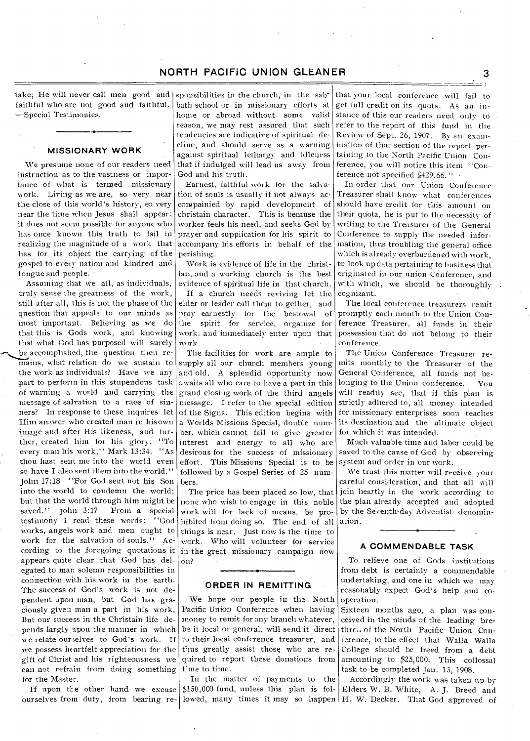take; He will never call men good and faithful who are not good and faithful. —Special Testimonies.

### **MISSIONARY WORK**

We presume none of our readers need instruction as to the vastness or importance of what is termed missionary work. Living as we are, so very near the close of this world's history, so very near the time when Jesus shall appear; it does not seem possible for anyone who has once known this truth to fail in realizing the magnitude of a work that has for its object the carrying of the gospel to every nation and kindred and tongue and people. •

Assuming that We all, as individuals, truly sense the greatness of the work, still after all, this is not the phase of the question that appeals to our minds as most important. Believing as we do that this is Gods work, and knowing that what God has purposed will surely be accomplished, the question then remains, what relation do we sustain to the work as individuals? Have we any part to perform in this stupendous task of warning a world and carrying the message of salvation to a race of sinners? In response to these inquires let Him answer who created man in his own image and after His likeness, and further, created him for his glory: "To every man his work," Mark 13:34. "As thou hast sent me into the world even so have I also sent them into the world." John 17:18 "For God sent not his Son into the world to condemn the world; but that the world through him might be<br>saved." John 3:17 From a special From a special testimony I read these words: "God works, angels work and men ought to work for the salvation of souls." According to the foregoing quotations it appears quite clear that God has delegated to man solemn responsibilities in connection with his work in the earth. The success of God's work is not dependent upon man, but God has graciously given man a part in his work. But our success in the Christain life depends largly upon the manner in which we relate ourselves to God's work. If we possess heartfelt appreciation for the gift of Christ and his righteousness we can not refrain from doing something for the Master.

ourselves from duty, from bearing re- lowed, many times it may so happen H. W. Decker. That God approved of If upon the other hand we excuse

sponsibilities in the church, in the sabbath school or in missionary efforts at home or abroad without some • valid reason, we may rest assured that such tendencies are indicative of spiritual decline, and should serve as a warning against spiritual lethargy and idleness that if indulged will lead us away from God and his truth.

Earnest, faithful work for the salvation of souls is usually if not always ac, compainied by rapid development of christain character. This is because the worker feels his need, and seeks God by prayer and supplication for his spirit to accompany his efforts in behalf of the perishing.

Work is evidence of life in the christian, and a working church is the best evidence of spiritual life in that church. If a church needs reviving let the elder or leader call them to-gether, and pray earnestly for the bestowal of the spirit for service, organize for work. and immediately enter upon that work.

The facilities for work are ample to supply all our church members young and old. A splendid opportunity now awaits all who care to have a part in this grand closing work of the third angels message. I refer to the special edition of the Signs. This edition begins with a Worlds Missions Special, double number, which cannot fail to give greater interest and energy to all who are desirous for the success of missionary effort. This Missions Special is to be followed by a Gospel Series of 25 numbers.

The price has been placed so low, that none.who wish to engage in this noble work will for lack of means, be prohibited front doing so. The end of all things is near. Just now is the time to work. Who will volunteer for service in the great missionary campaign now on? •

#### **ORDER IN REMITTING**

We hope our people in the North Pacific Union Conference when having money to remit for any branch whatever, be it local or general, will send it direct to their local conference treasurer, and thus greatly assist those who are required to report these donations from tine to time.

In the matter of payments to the \$150,000 fund, unless this plan is fol-

that your local conference will fail to get full credit on its quota.. As an instance of this our readers need only to refer to the report of this fund in the Review of Sept. 26, 1907. By an examination of that section of the report pertaining to the North Pacific Union Conference, you will notice this item "Conference not specified \$429.66." -

In order that our Union Conference Treasurer shall know what conferences should have credit for this amount on their quota, he is put to the necessity of writing to the Treasurer of the General Conference to supply the needed information, thus troubling the general office which is already. overburdened with work, to look up data pertaining-to business that originated in our union Conference, and with which, we should be thoroughly cognizant.

The local conference treasurers remit promptly each month to the Union Conference Treasurer, all funds in their possession that do not belong to their conference.

The Union Conference Treasurer remits monthly to the Treasurer of the General Conference, all funds not belonging to the Union conference. You will readily see, that if this plan is strictly adhered to, all money intended for missionary enterprises soon reaches its destination and the ultimate object for which it was intended.

Much valuable time and labor could be saved to the cause of God by observing system and order in our work.

We trust this matter will receive your careful consideration, and that all will join heartly in the work according to the plan already accepted and adopted by the Seventh-day Adventist denomination.

#### **A COMMENDABLE TASK**

To relieve one of Gods institutions from debt is certainly a commendable undertaking, and one in which we may reasonably expect God's help and cooperation.

Sixteen months ago, a plan was conceived in the minds of the leading brethren of the North Pacific Union Conference, to the effect that Walla Walla College should be freed from a debt amounting to \$25,000. This •collossal task to be completed Jan. 15, 1908.

Accordingly the work was taken up by Elders W. B. White, A. J. Breed and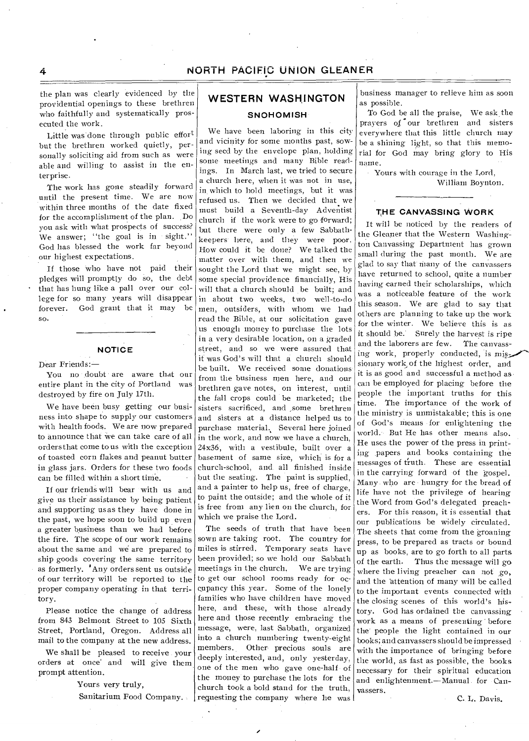the plan was clearly evidenced by the providential openings to these brethren who faithfully and systematically prosecuted the work.

Little was done through public effort but the brethren worked quietly, personally soliciting aid from such as were able and willing to assist in the enterprise.

The work has gone steadily forward until the present time. We are now within three months of the date fixed for the accomplishment of the plan. Do you ask with what prospects of success? We answer; "the goal is in sight." God has blessed the work far beyond our highest expectations.

If those who have not paid their pledges will promptly do so, the debt that has hung like a pall over our college for so many years will disappear forever. God grant that it may be so.

### **NOTICE**

#### Dear Friends:—

You no doubt are aware that our entire plant in the city of Portland was destroyed by fire on July 17th.

We have been busy getting our business into shape to supply our customers with health foods. We are now prepared to announce that we can take care of all orders that come to us with the exception of toasted corn flakes and peanut butter in glass jars. Orders for these two foods can be filled within a short time.

If our friends will bear with us and give us their assistance by being patient and supporting us as they have done in the past, we hope soon to build up even a greater business than we had before the fire. The scope of our work remains about the same and we are prepared to ship goods covering the same territory as formerly. 'Any orders sent us outside of our territory will be reported to the proper company operating in that territory.

Please notice the change of address from 843 Belmont Street to 105 Sixth Street, Portland, Oregon. Address all mail to the company at the new address.

We shall be pleased to receive your orders at once' and will give them prompt attention.

Yours very truly,

Sanitarium Food Company.

# **WESTERN WASHINGTON**

# **SNOHOMISH**

We have been laboring in this city and vicinity for some months past, sowing seed by the envelope plan, holding some meetings and many Bible readings. In March last, we tried to secure a church here, when it was not in use, in which to hold meetings, but it was refused us. Then we decided that we must build a Seventh-day Adventist church if the work were to go forward; but there were only a few Sabbathkeepers here, and they were poor. How could it be done? We talked the matter over with them, and then we sought the Lord that we might see, by some special providence financially, His will that a church should be built; and in about two weeks, two well-to-do men, outsiders, with whom we had read the Bible, at our solicitation gave us enough money to purchase the lots in a very desirable location, on a graded street, and so we were assured that it was God's will that a church should be built. We received some donations from the business men here, and our brethren gave notes, on interest, until the fall crops could be marketed; the sisters sacrificed, and ,some brethren and sisters at a distance helped us to purchase material. Several here joined in the work, and now we have a church, 24x36, with a vestibule, built over a basement of same size, which is for a church-school, and all finished inside but the seating. The paint is supplied, and a painter to help us, free of charge, to paint the outside; and the whole of it is free from any lien on the church, for which we praise the Lord.

The seeds of truth that have been sown are taking root. The country for miles is stirred. Temporary seats have been provided; so we hold our Sabbath meetings in the church. We are trying to get our school rooms ready for occupancy this year. Some of the lonely families who have children have moved here, and these, with those already here and those recently embracing the message, were, last Sabbath, organized into a church numbering twenty-eight members. Other precious souls are deeply interested, and, only yesterday, one of the men who gave one-half of the money to purchase the lots for the church took a bold stand for the truth, requesting the company where he was

business manager to relieve him as soon as possible.

To God be all the praise, We ask the prayers of our brethren and sisters everywhere that this little church may be a shining light, so that this memorial for God may bring glory to His name.

Yours with courage in the Lord, William Boynton.

### **THE CANVASSING WORK**

It will be noticed by the readers of the Gleaner that the Western Washington Canvassing Department has grown small during the past month. We are glad to say that many of the canvassers have returned to school, quite a number having earned their scholarships, which was a noticeable feature of the work this season. We are glad to say that others are planning to take up the work for the winter. We believe this is as it should be. Surely the harvest is ripe and the laborers are few. The canvassing work, properly conducted, is sionary work of the highest order, and it is as good and successful a method as can be employed for placing before the people the important truths for this time. The importance of the work of the ministry is unmistakable; this is one of God's means for enlightening the world. But He has other means also. He uses the power of the press in printing papers and books containing the messages of truth. These are essential in the carrying forward of the gospel. Many who are hungry for the bread of life have not the privilege of hearing the Word from God's delegated preachers. For this reason, it is essential that our publications be widely circulated. The sheets that come from the groaning press, to be prepared as tracts or bound up as books, are to go forth to all parts of the earth. Thus the message will go where the living preacher can not go. and the attention of many will be called to the important events connected with the closing scenes of this world's history. God has ordained the canvassing work as a means of presenting before the people the light contained in our books; and canvassers should be impressed with the importance of bringing before the world, as fast as possible, the books necessary for their spiritual education and enlightenment.—Manual for Canvassers.

C. L. Davis.

4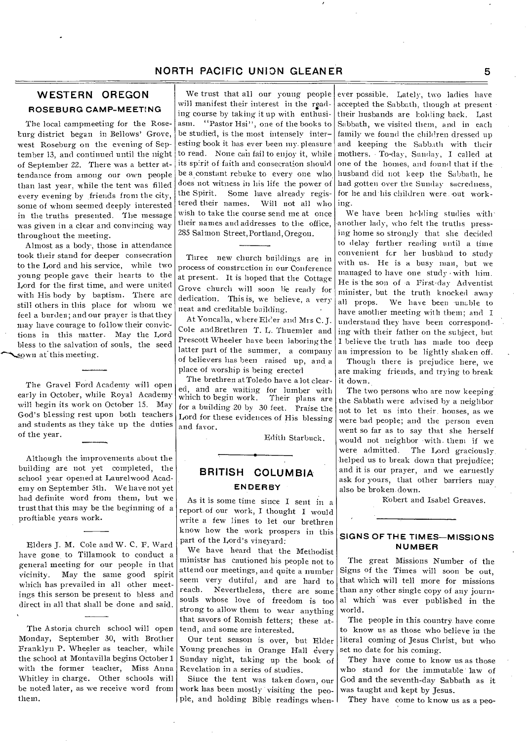# **WESTERN OREGON ROSEBURG CAMP-MEETING**

The local campmeeting for the Roseburg district began in Bellows' Grove, west Roseburg on the evening of September 13, and continued until the night of September 22. There was a better attendance from among our own people than last year, while the tent was filled every evening by friends from the city, some of whom seemed deeply interested in the truths presented. The message was given in a clear and convincing way throughout the meeting.

Almost as a body-, those in attendance took their stand for deeper consecration to the Lord and his service, while two young people gave their hearts to the Lord for the first time, and were united with His body by baptism. There are still others in this place for whom we feel a burden; and our prayer is that they may have courage to follow their convictions in this matter. May the Lord bless to the salvation of souls, the seed sown at this meeting.

The Gravel Ford Academy will open early in October, while Royal Academy will begin its work on October 15. May God's blessing rest upon both teachers and students as they take up the duties of the year.

Although the improvements about the building are not yet completed, the school year opened at Laurelwood Academy on September 5th. We have not yet had definite word from them, but we trust that this may be the beginning of a proftiable years work.

Elders J. M. Cole and W. C. F. Ward have gone to Tillamook to conduct a general meeting for our people in that vicinity. May the same good spirit which has prevailed in all other meetings this serson be present to bless and direct in all that shall be done and said.

The Astoria church school will open Monday, September 30, with Brother Franklyn P. Wheeler as teacher, while the school at Montavilla begins October 1 with the former teacher, Miss Anna Whitley in charge. Other schools will be noted later, as we receive word from them.

We trust that all our young people will manifest their interest in the reading course by taking it up with enthusiasm. ''Pastor Hsi", one of the books to be studied, is the most intensely interesting book it has ever been my. pleasure to read. None can fail to enjoy it, while its spirit of faith and consecration should be a constant rebuke to every one who does not witness in his life the power of<br>the Spirit. Some have already registhe Spirit. Some have already regis-<br>tered their names. Will not all who Will not all who wish to take the course send me at once their names and addresses to the office, 285 Salmon Street, Portland, Oregon.

Three new church buildings are in process of construction in our Conference at present. It is hoped that the Cottage Grove church will soon lie ready for dedication. This is, we believe, a very neat and creditable building- .

At Yoncalla, where Elder and Mrs C. J. Cole andBrethren T. L. Thuemler and Prescott Wheeler have been laboring the latter part of the summer, a company of believers has been raised up, and a place of worship is being erected

The brethren at Toledo have a lot cleared, and are waiting for lumber with which to begin work. for a building 20 by 30 feet. Praise the Lord for these evidences of His blessing and favor.

Edith Starbuck.

# **BRITISH COLUMBIA ENDERBY**

**As** it is some time since I sent in a report of our work, I thought I would write a few lines to let our brethren know how the work prospers in this part of the Lord's vineyard:

We have heard that the Methodist ministsr has cautioned his people not to attend our meetings, and quite a number seem very dutiful, and are hard to reach. Nevertheless, there are some souls whose love of freedom is too strong to allow them to wear anything that savors of Romish fetters; these attend, and some are interested.

Our tent season is over, but Elder Young preaches in Orange Hall every Sunday night, taking up the book of Revelation in a series of studies.

Since the tent was taken down, our work has been mostly visiting the people, and holding Bible readings when-

ever possible. Lately, two ladies have accepted the. Sabbath, though at presenttheir husbands are holding back. Last Sabbath, we visited them, and in each family we found the children dressed up and keeping the Sabb.tth with their mothers. • To-day, Sunday, I called at one of the homes, and found that if thehusband did not keep the Sabbath, he had gotten over the Sunday sacredness, for he and his children were out working.

We have been holding studies with' another lady, who felt the truths pressing home so strongly that she decided to delay further reading until a time convenient for her husband to study with us. He is a busy man, but we managed to have one study with him. He is the son of .a First-day Adventist minister, but the truth knocked away all props. We have been -unable to have another meeting with them; and I understand they have been corresponding with their father on the subject, but I believe the truth has made too deep an impression to be lightly shaken off.

Though there is prejudice here, we are making friends, and trying to break it down.

The two persons who are now keeping the Sabbath were advised by a neighbor not to let us into their. houses, as we were had people; and the person even went so far as to say that she herself would not neighbor 'with. them if we were admitted. The Lord graciously helped us to break down that prejudice; and it is our prayer, and we earnestly ask for yours, that other barriers may also be broken. down.

Robert and Isabel Greaves.

#### **SIGNS OF THE TIMES—MISSIONS NUMBER**

The great Missions Number of the Signs of the Times will soon be out, that which will tell more for missions than any other single copy of any journ al which was ever published in the world.

The people in this country have come to know us as those who believe in the literal coming of Jesus Christ, but who set no date for his coming.

They have come to know us as those who stand for the immutable law of God and the seventh-day Sabbath as it was taught and kept by Jesus.

They have come to know us as a peo-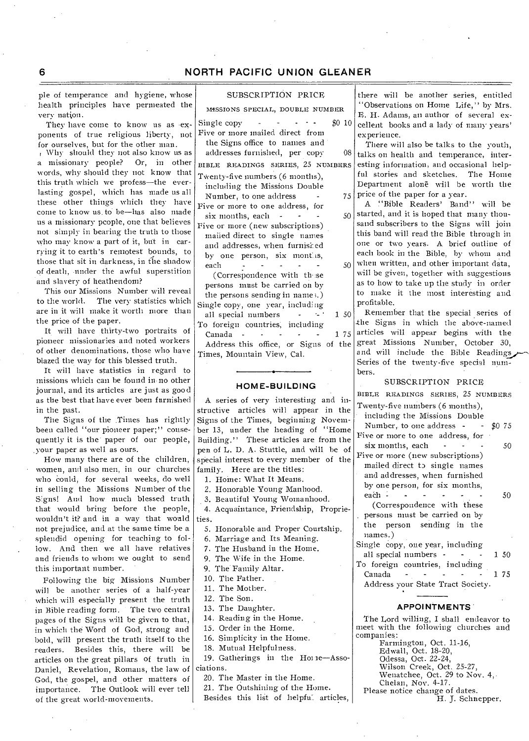ple of temperance and hygiene, whose health principles have permeated the very nation.

They have come to know us as exponents of true religious liberty, not for ourselves, but for the other man. Why should they not also know us as a missionary people? Or, in other words, why should they not know that this truth which we profess—the everlasting gospel, which has made us all these other things which they have come to know us\_ to be—has also made us a missionary pcople, one that believes not simply in bearing the truth to those who may know a part of it, but in carrying it to earth's remotest hounds, to those that sit in darkness, in the shadow of death, -under the awful superstition and slavery of heathendom?

This our Missions Number will reveal to the world. The very statistics which are in it will make it worth more than the price of the paper.

It will have thirty-two portraits of pioneer missionaries and noted workers of other denominations, those who have blazed the way for this blessed truth.

It will have statistics in regard to missions which can he found in-no other journal, and its articles are just as good as the best that have ever been furnished in the past.

The Signs of the Times has rightly been called "our pioneer paper;" consequently it is the' paper of our people, your paper as well as ours.

How many there are of the children, women, and also men, in our churches who could, for several weeks, do well in selling the Missions Number of the Signs! And how much blessed truth that would bring before the people, wouldn't it? and in a way that would not prejudice, and at the same time be a splendid opening for teaching to follow. And then we all have relatives and friends to whom we ought to send this important number.

Following the big Missions Number will be another series of a half-year which will especially present the truth in Bible reading form. The two central Pages of the Signs will be given to that, in which the Word of God, strong and bold, will present the truth itself to the readers. Besides this, there will be articles on the great pillars of truth in Daniel, Revelation, Romans, the law of God, the gospel, and other matters of importance. The Outlook will ever tell of the great world-movements.

### SUBSCRIPTION PRICE

MISSIONS SPECIAL, DOUBLE NUMBER

- Single copy -  $\cdot$  \$0 10 Five or more mailed direct from the Signs office to names and addresses furnished, per copy 08
- BIBLE READINGS SERIES, 25 NUMBERS Twenty-five numbers (6 months),
- including the Missions Double Number, to one address
- Five or more to one address, for six months, each  $-$  -  $-$  50
- Five or more (new subscriptions) mailed direct to single names and addresses, when furnisi: ed by one person, six months, each - - - - - -

(Correspondence with these persons must be carried on by the persons sending in name ;.) Single copy, one year, including all special numbers  $-150$ To foreign countries; including

Canada - - - - - 1 *75*  Address this office, or Signs of the Times, Mountain View, Cal.

#### **HOME-BUILDING**

A series of very interesting and instructive articles will appear in the Signs of the Times, beginning November 13, under the heading of "Home Building." These articles are from the pen of L. D. A. Stuttle, and will he of special interest to every member of the family. Here are the titles:

1. Home: What It Means.

- 2. Honorable Young Manhood.
- 3. Beautiful Young Womanhood.

4. Acquaintance, Friendship, Proprieties.

- 5. Honorable and Proper Courtship.
- 6. Marriage and Its Meaning.
- 7. The Husband in the Home.
- 9. The Wife in the Home.
- 9. The Family Altar.
- 10. The Father.
- 11. The Mother.
- 12. The Son.
- 13. The Daughter.
- 14. Reading in the Home.
- 15. Order in the Home.
- 16. Simplicity in the Home.
- 18. Mutual Helpfulness.
- 19. Gatherings in the Horne-Associations.
- 20. The Master in the Home.
	- 21. The Outshining of the Home. Besides this list of helpful articles,

there will be another series, entitled "Observations on Home Life," by Mrs. E. H. Adams, an author of several excellent books and a lady of many years' experience.

There will also be talks to the youth, talks on health and- temperance, interesting information, and occasional helpful stories and sketches. The Home Department alone will be worth the  $75$  price of the paper for a year.

- A 'Bible Readers' Band" will be started, and it is hoped that many thousand subscribers to the Signs will join this band will read the Bible through in one or two years. A brief outline of each book in the Bible, by whom and when written, and other important data, will be given, together with suggestions as to how to take up the study in order to make it the most interesting and 50
	- profitable. Remember that the special series of -the Signs in which the above-named articles will appear begins with the great Missions Number, October 30, and will include the Bible Readings Series of the twenty-five special numbers.

#### SUBSCRIPTION PRICE

BIBLE READINGS SERIES, 25 NUMBERS

- Twenty-five numbers (6 months), including the Missions Double
- Number, to one address  $-$  \$0 75 Five or more to one address, for  $six$  months, each - - -  $50$
- Five or more (new subscriptions) mailed direct to single names and addresses, when furnished
	- by one person, for six months, each - - - - - - - 50
- (Correspondence with these persons must be carried on by the person sending in the names:)
- Single copy, one year, including all special numbers - - - 1 50 To foreign countries, including Canada - - - - - 1 *<sup>75</sup>*
	- Address your State Tract Society.

#### **APPOINTMENTS'**

The Lord willing, I shall endeavor to meet with the following churches and companies:

- Farmington, Oct. 11-16, Edwall, Oct. 18-20,
- 
- Odessa, Oct. 22-24, Wilson Creek, Oct. 25-27,
	- Wenatchee, Oct. 29 to Nov. 4, Chelan, Nov. 4-17.
- Please notice change of dates.
	- H. J. Schnepper.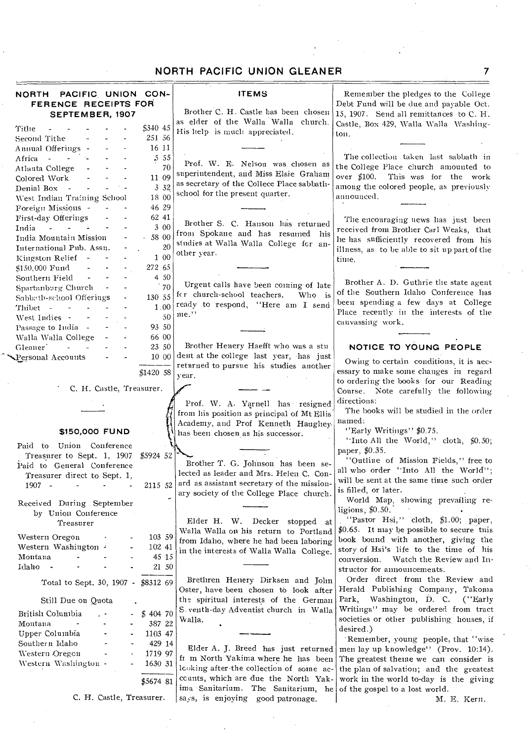| NORTH PACIFIC UNION CON-<br>FERENCE RECEIPTS FOR                                                                        |           | <b>ITEMS</b>                               | Remember the pledges to the College<br>Debt Fund will be due and payable Oct. |
|-------------------------------------------------------------------------------------------------------------------------|-----------|--------------------------------------------|-------------------------------------------------------------------------------|
| SEPTEMBER, 1907                                                                                                         |           | Brother C. H. Castle has been chosen       | 15, 1907. Send all remittances to C. H.                                       |
|                                                                                                                         |           | as elder of the Walla Walla church.        | Castle, Box 429, Walla Walla Washing-                                         |
| Tithe                                                                                                                   | \$340 45  | His help is much appreciated.              | ton.                                                                          |
| Second Tithe                                                                                                            | 251 56    |                                            |                                                                               |
| Annual Offerings -                                                                                                      | 16 11     |                                            |                                                                               |
| Africa -                                                                                                                | 5 5 5     | Prof. W. E. Nelson was chosen as           | The collection taken last sabbath in                                          |
| Atlanta College                                                                                                         | 70        | superintendent, and Miss Elsie Graham      | the College Place church amounted to                                          |
| Colored Work                                                                                                            | 11 09     | as secretary of the Collece Place sabbath- | over $$100.$<br>This was for the work                                         |
| Denial Box<br>$\sim$                                                                                                    | 3 3 2     | school for the present quarter.            | among the colored people, as previously                                       |
| West Indian Training School                                                                                             | 18 00     |                                            | announced.                                                                    |
| Foreign Missions -                                                                                                      | 46 29     |                                            |                                                                               |
| First-day Offerings                                                                                                     | 62 41     |                                            | The encouraging news has just been                                            |
| $\mathcal{L}(\mathcal{L}(\mathcal{L}))$ . The $\mathcal{L}(\mathcal{L}(\mathcal{L}))$<br>India<br>$\tilde{\phantom{a}}$ | 3 00      | Brother S. C. Hanson has returned          | received from Brother Carl Weaks, that                                        |
| India Mountain Mission                                                                                                  | 58 00     | from Spokane and has resumed his           | he has sufficiently recovered from his                                        |
| International Pub. Assn.                                                                                                | 20        | studies at Walla Walla College for an-     | illness, as to be able to sit up part of the                                  |
| Kingston Relief -                                                                                                       | 1 00      | other year.                                | time.                                                                         |
| \$150,000 Fund                                                                                                          | 272 65    |                                            |                                                                               |
| Southern Field                                                                                                          | 4 50      |                                            |                                                                               |
| Spartanburg Church                                                                                                      | 70        | Urgent calls have been coming of late      | Brother A. D. Guthrie the state agent                                         |
|                                                                                                                         | 130 55    | for church-school teachers.<br>Who is      | of the Southern Idaho Conference has                                          |
| Sabbath-school Offerings                                                                                                |           | ready to respond, "Here am I send          | been spending a few days at College                                           |
| Thibet -<br>$\sim 100$                                                                                                  | 1.00      | $me.$ "                                    | Place recently in the interests of the                                        |
| West Indies -                                                                                                           | 50        |                                            | canvassing work.                                                              |
| Passage to India -                                                                                                      | 93 50     |                                            |                                                                               |
| Walla Walla College                                                                                                     | 66 00     |                                            |                                                                               |
| Gleaner <sup>1</sup><br>$\sim$                                                                                          | 23 50     | Brother Henery Haefft who was a stu        | NOTICE TO YOUNG PEOPLE                                                        |
| Personal Accounts                                                                                                       | 10 00     | dent at the college last year, has just    | Owing to certain conditions, it is nec-                                       |
|                                                                                                                         |           | returned to pursue his studies another     | essary to make some changes in regard                                         |
|                                                                                                                         | \$142058  | vear.                                      | to ordering the books for our Reading                                         |
| C. H. Castle, Treasurer.                                                                                                |           |                                            |                                                                               |
|                                                                                                                         |           |                                            | Course. Note carefully the following<br>directions:                           |
|                                                                                                                         |           | Prof. W. A. Yarnell has resigned           |                                                                               |
|                                                                                                                         |           | from his position as principal of Mt Ellis | The books will be studied in the order                                        |
|                                                                                                                         |           | Academy, and Prof Kenneth Haughey-         | named:                                                                        |
| \$150,000 FUND                                                                                                          |           | has been chosen as his successor.          | "Early Writings" \$0.75.                                                      |
| Paid to Union Conference                                                                                                |           |                                            | "Into All the World," cloth, \$0.50;                                          |
| Treasurer to Sept. 1, 1907                                                                                              | \$5924 52 |                                            | paper, \$0.35.                                                                |
| Paid to General Conference                                                                                              |           | Brother T. G. Johnson has been se-         | "Outline of Mission Fields," free to                                          |
| Treasurer direct to Sept. 1.                                                                                            |           | lected as leader and Mrs. Helen C. Con-    | all who order "Into All the World";                                           |
| 1907 -                                                                                                                  | 2115 52   | ard as assistant secretary of the mission- | will be sent at the same time such order                                      |
|                                                                                                                         |           | ary society of the College Place church.   | is filled, or later.                                                          |
| Received During September                                                                                               |           |                                            | World Map, showing prevailing re-                                             |
| by Union Conference                                                                                                     |           |                                            | ligions, $$0.50$ .                                                            |
| Treasurer                                                                                                               |           | Elder H. W. Decker stopped at              | "Pastor Hsi," cloth, \$1.00; paper,                                           |
|                                                                                                                         |           | Walla Walla on his return to Portland      | \$0.65. It may be possible to secure this                                     |
| Western Oregon                                                                                                          | 103 59    | from Idaho, where he had been laboring     | book bound with another, giving the                                           |
| Western Washington =                                                                                                    | 102 41    | in the interests of Walla Walla College.   | story of Hsi's life to the time of his                                        |
| Montana                                                                                                                 | 45 15     |                                            | Watch the Review and In-<br>conversion.                                       |
| Idaho                                                                                                                   | 21 50     |                                            | structor for announcements.                                                   |
|                                                                                                                         |           |                                            | Order direct from the Review and                                              |
| Total to Sept. 30, 1907 - \$8312 69                                                                                     |           | Brethren Henery Dirksen and John           |                                                                               |
|                                                                                                                         |           | Oster, have been chosen to look after      | Herald Publishing Company, Takoma                                             |
| Still Due on Quota                                                                                                      |           | the spiritual interests of the German      | Park, Washington, D. C. ("Early                                               |
| British Columbia                                                                                                        | \$40470   | S venth-day Adventist church in Walla      | Writings" may be ordered from tract                                           |
| Montana                                                                                                                 | 387 22    | Walla.                                     | societies or other publishing houses, if                                      |
| Upper Columbia                                                                                                          | 1103 47   |                                            | desired.)                                                                     |
| Southern Idaho                                                                                                          | 429 14    |                                            | 'Remember, young people, that "wise                                           |
| Western Oregon                                                                                                          | 1719 97   | Elder A. J. Breed has just returned        | men lay up knowledge'' (Prov. $10:14$ ).                                      |
|                                                                                                                         |           | fr m North Yakima where he has been        | The greatest theme we can consider is                                         |
| Western Washington -                                                                                                    | 1630 31   | looking after the collection of some ac-   | the plan of salvation; and the greatest                                       |
|                                                                                                                         | \$5674 81 | counts, which are due the North Yak-       | work in the world to-day is the giving                                        |
|                                                                                                                         |           | ima Sanitarium. The Sanitarium, he         | of the gospel to a lost world.                                                |
| C. H. Castle, Treasurer.                                                                                                |           | says, is enjoying good patronage.          | M. E. Kern.                                                                   |
|                                                                                                                         |           |                                            |                                                                               |
|                                                                                                                         |           |                                            |                                                                               |